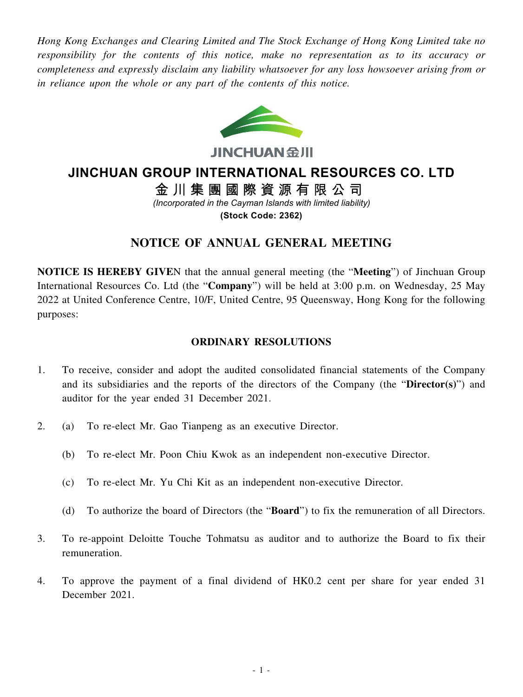*Hong Kong Exchanges and Clearing Limited and The Stock Exchange of Hong Kong Limited take no responsibility for the contents of this notice, make no representation as to its accuracy or completeness and expressly disclaim any liability whatsoever for any loss howsoever arising from or in reliance upon the whole or any part of the contents of this notice.*



**JINCHUAN SIII** 

# **JINCHUAN GROUP INTERNATIONAL RESOURCES CO. LTD**

金川集團國際資源有限公司 *(Incorporated in the Cayman Islands with limited liability)*

**(Stock Code: 2362)**

## **NOTICE OF ANNUAL GENERAL MEETING**

**NOTICE IS HEREBY GIVE**N that the annual general meeting (the "**Meeting**") of Jinchuan Group International Resources Co. Ltd (the "**Company**") will be held at 3:00 p.m. on Wednesday, 25 May 2022 at United Conference Centre, 10/F, United Centre, 95 Queensway, Hong Kong for the following purposes:

#### **ORDINARY RESOLUTIONS**

- 1. To receive, consider and adopt the audited consolidated financial statements of the Company and its subsidiaries and the reports of the directors of the Company (the "**Director(s)**") and auditor for the year ended 31 December 2021.
- 2. (a) To re-elect Mr. Gao Tianpeng as an executive Director.
	- (b) To re-elect Mr. Poon Chiu Kwok as an independent non-executive Director.
	- (c) To re-elect Mr. Yu Chi Kit as an independent non-executive Director.
	- (d) To authorize the board of Directors (the "**Board**") to fix the remuneration of all Directors.
- 3. To re-appoint Deloitte Touche Tohmatsu as auditor and to authorize the Board to fix their remuneration.
- 4. To approve the payment of a final dividend of HK0.2 cent per share for year ended 31 December 2021.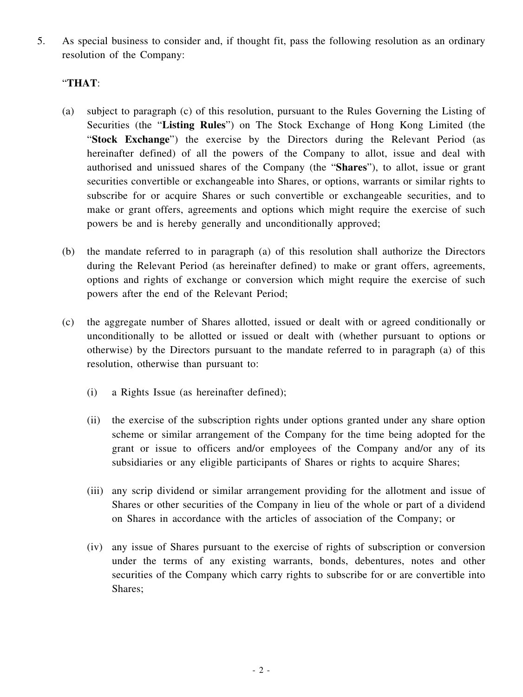5. As special business to consider and, if thought fit, pass the following resolution as an ordinary resolution of the Company:

### "**THAT**:

- (a) subject to paragraph (c) of this resolution, pursuant to the Rules Governing the Listing of Securities (the "**Listing Rules**") on The Stock Exchange of Hong Kong Limited (the "**Stock Exchange**") the exercise by the Directors during the Relevant Period (as hereinafter defined) of all the powers of the Company to allot, issue and deal with authorised and unissued shares of the Company (the "**Shares**"), to allot, issue or grant securities convertible or exchangeable into Shares, or options, warrants or similar rights to subscribe for or acquire Shares or such convertible or exchangeable securities, and to make or grant offers, agreements and options which might require the exercise of such powers be and is hereby generally and unconditionally approved;
- (b) the mandate referred to in paragraph (a) of this resolution shall authorize the Directors during the Relevant Period (as hereinafter defined) to make or grant offers, agreements, options and rights of exchange or conversion which might require the exercise of such powers after the end of the Relevant Period;
- (c) the aggregate number of Shares allotted, issued or dealt with or agreed conditionally or unconditionally to be allotted or issued or dealt with (whether pursuant to options or otherwise) by the Directors pursuant to the mandate referred to in paragraph (a) of this resolution, otherwise than pursuant to:
	- (i) a Rights Issue (as hereinafter defined);
	- (ii) the exercise of the subscription rights under options granted under any share option scheme or similar arrangement of the Company for the time being adopted for the grant or issue to officers and/or employees of the Company and/or any of its subsidiaries or any eligible participants of Shares or rights to acquire Shares;
	- (iii) any scrip dividend or similar arrangement providing for the allotment and issue of Shares or other securities of the Company in lieu of the whole or part of a dividend on Shares in accordance with the articles of association of the Company; or
	- (iv) any issue of Shares pursuant to the exercise of rights of subscription or conversion under the terms of any existing warrants, bonds, debentures, notes and other securities of the Company which carry rights to subscribe for or are convertible into Shares;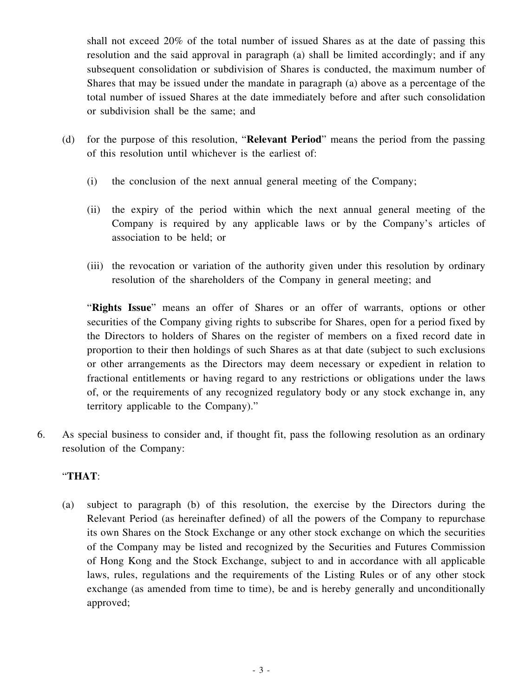shall not exceed 20% of the total number of issued Shares as at the date of passing this resolution and the said approval in paragraph (a) shall be limited accordingly; and if any subsequent consolidation or subdivision of Shares is conducted, the maximum number of Shares that may be issued under the mandate in paragraph (a) above as a percentage of the total number of issued Shares at the date immediately before and after such consolidation or subdivision shall be the same; and

- (d) for the purpose of this resolution, "**Relevant Period**" means the period from the passing of this resolution until whichever is the earliest of:
	- (i) the conclusion of the next annual general meeting of the Company;
	- (ii) the expiry of the period within which the next annual general meeting of the Company is required by any applicable laws or by the Company's articles of association to be held; or
	- (iii) the revocation or variation of the authority given under this resolution by ordinary resolution of the shareholders of the Company in general meeting; and

"**Rights Issue**" means an offer of Shares or an offer of warrants, options or other securities of the Company giving rights to subscribe for Shares, open for a period fixed by the Directors to holders of Shares on the register of members on a fixed record date in proportion to their then holdings of such Shares as at that date (subject to such exclusions or other arrangements as the Directors may deem necessary or expedient in relation to fractional entitlements or having regard to any restrictions or obligations under the laws of, or the requirements of any recognized regulatory body or any stock exchange in, any territory applicable to the Company)."

6. As special business to consider and, if thought fit, pass the following resolution as an ordinary resolution of the Company:

#### "**THAT**:

(a) subject to paragraph (b) of this resolution, the exercise by the Directors during the Relevant Period (as hereinafter defined) of all the powers of the Company to repurchase its own Shares on the Stock Exchange or any other stock exchange on which the securities of the Company may be listed and recognized by the Securities and Futures Commission of Hong Kong and the Stock Exchange, subject to and in accordance with all applicable laws, rules, regulations and the requirements of the Listing Rules or of any other stock exchange (as amended from time to time), be and is hereby generally and unconditionally approved;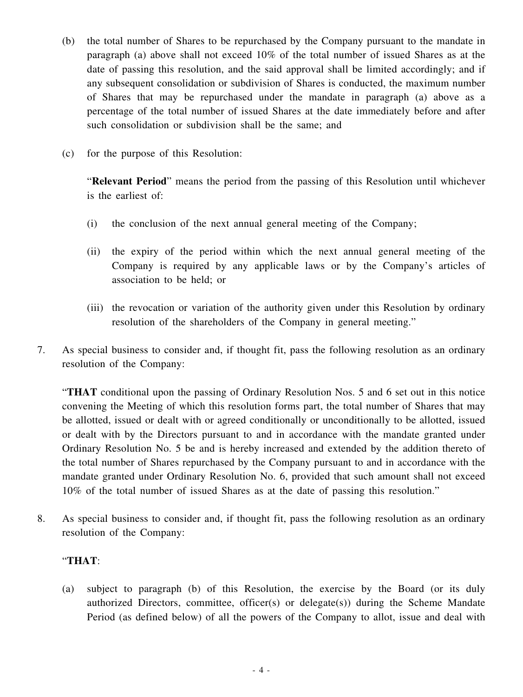- (b) the total number of Shares to be repurchased by the Company pursuant to the mandate in paragraph (a) above shall not exceed 10% of the total number of issued Shares as at the date of passing this resolution, and the said approval shall be limited accordingly; and if any subsequent consolidation or subdivision of Shares is conducted, the maximum number of Shares that may be repurchased under the mandate in paragraph (a) above as a percentage of the total number of issued Shares at the date immediately before and after such consolidation or subdivision shall be the same; and
- (c) for the purpose of this Resolution:

"**Relevant Period**" means the period from the passing of this Resolution until whichever is the earliest of:

- (i) the conclusion of the next annual general meeting of the Company;
- (ii) the expiry of the period within which the next annual general meeting of the Company is required by any applicable laws or by the Company's articles of association to be held; or
- (iii) the revocation or variation of the authority given under this Resolution by ordinary resolution of the shareholders of the Company in general meeting."
- 7. As special business to consider and, if thought fit, pass the following resolution as an ordinary resolution of the Company:

"**THAT** conditional upon the passing of Ordinary Resolution Nos. 5 and 6 set out in this notice convening the Meeting of which this resolution forms part, the total number of Shares that may be allotted, issued or dealt with or agreed conditionally or unconditionally to be allotted, issued or dealt with by the Directors pursuant to and in accordance with the mandate granted under Ordinary Resolution No. 5 be and is hereby increased and extended by the addition thereto of the total number of Shares repurchased by the Company pursuant to and in accordance with the mandate granted under Ordinary Resolution No. 6, provided that such amount shall not exceed 10% of the total number of issued Shares as at the date of passing this resolution."

8. As special business to consider and, if thought fit, pass the following resolution as an ordinary resolution of the Company:

#### "**THAT**:

(a) subject to paragraph (b) of this Resolution, the exercise by the Board (or its duly authorized Directors, committee, officer(s) or delegate(s)) during the Scheme Mandate Period (as defined below) of all the powers of the Company to allot, issue and deal with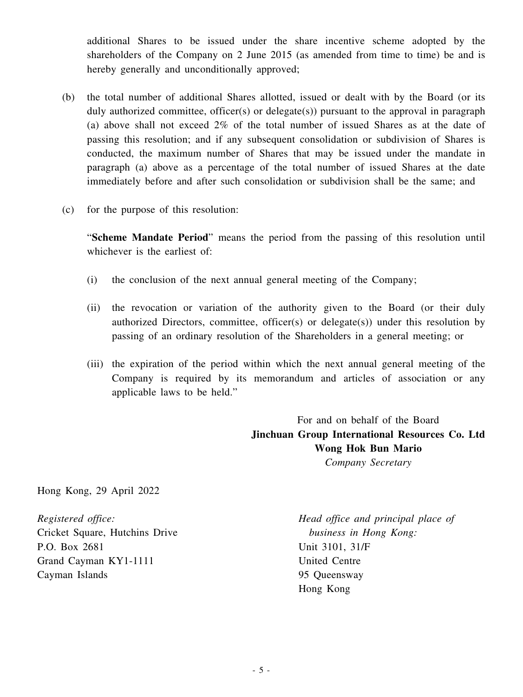additional Shares to be issued under the share incentive scheme adopted by the shareholders of the Company on 2 June 2015 (as amended from time to time) be and is hereby generally and unconditionally approved;

- (b) the total number of additional Shares allotted, issued or dealt with by the Board (or its duly authorized committee, officer(s) or delegate(s)) pursuant to the approval in paragraph (a) above shall not exceed 2% of the total number of issued Shares as at the date of passing this resolution; and if any subsequent consolidation or subdivision of Shares is conducted, the maximum number of Shares that may be issued under the mandate in paragraph (a) above as a percentage of the total number of issued Shares at the date immediately before and after such consolidation or subdivision shall be the same; and
- (c) for the purpose of this resolution:

"**Scheme Mandate Period**" means the period from the passing of this resolution until whichever is the earliest of:

- (i) the conclusion of the next annual general meeting of the Company;
- (ii) the revocation or variation of the authority given to the Board (or their duly authorized Directors, committee, officer(s) or delegate(s)) under this resolution by passing of an ordinary resolution of the Shareholders in a general meeting; or
- (iii) the expiration of the period within which the next annual general meeting of the Company is required by its memorandum and articles of association or any applicable laws to be held."

For and on behalf of the Board **Jinchuan Group International Resources Co. Ltd Wong Hok Bun Mario** *Company Secretary*

Hong Kong, 29 April 2022

*Registered office:* Cricket Square, Hutchins Drive P.O. Box 2681 Grand Cayman KY1-1111 Cayman Islands

*Head office and principal place of business in Hong Kong:* Unit 3101, 31/F United Centre 95 Queensway Hong Kong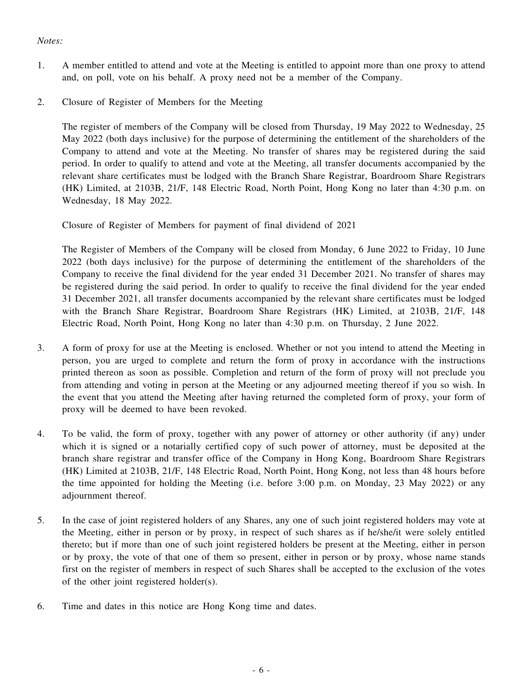#### *Notes:*

- 1. A member entitled to attend and vote at the Meeting is entitled to appoint more than one proxy to attend and, on poll, vote on his behalf. A proxy need not be a member of the Company.
- 2. Closure of Register of Members for the Meeting

The register of members of the Company will be closed from Thursday, 19 May 2022 to Wednesday, 25 May 2022 (both days inclusive) for the purpose of determining the entitlement of the shareholders of the Company to attend and vote at the Meeting. No transfer of shares may be registered during the said period. In order to qualify to attend and vote at the Meeting, all transfer documents accompanied by the relevant share certificates must be lodged with the Branch Share Registrar, Boardroom Share Registrars (HK) Limited, at 2103B, 21/F, 148 Electric Road, North Point, Hong Kong no later than 4:30 p.m. on Wednesday, 18 May 2022.

Closure of Register of Members for payment of final dividend of 2021

The Register of Members of the Company will be closed from Monday, 6 June 2022 to Friday, 10 June 2022 (both days inclusive) for the purpose of determining the entitlement of the shareholders of the Company to receive the final dividend for the year ended 31 December 2021. No transfer of shares may be registered during the said period. In order to qualify to receive the final dividend for the year ended 31 December 2021, all transfer documents accompanied by the relevant share certificates must be lodged with the Branch Share Registrar, Boardroom Share Registrars (HK) Limited, at 2103B, 21/F, 148 Electric Road, North Point, Hong Kong no later than 4:30 p.m. on Thursday, 2 June 2022.

- 3. A form of proxy for use at the Meeting is enclosed. Whether or not you intend to attend the Meeting in person, you are urged to complete and return the form of proxy in accordance with the instructions printed thereon as soon as possible. Completion and return of the form of proxy will not preclude you from attending and voting in person at the Meeting or any adjourned meeting thereof if you so wish. In the event that you attend the Meeting after having returned the completed form of proxy, your form of proxy will be deemed to have been revoked.
- 4. To be valid, the form of proxy, together with any power of attorney or other authority (if any) under which it is signed or a notarially certified copy of such power of attorney, must be deposited at the branch share registrar and transfer office of the Company in Hong Kong, Boardroom Share Registrars (HK) Limited at 2103B, 21/F, 148 Electric Road, North Point, Hong Kong, not less than 48 hours before the time appointed for holding the Meeting (i.e. before 3:00 p.m. on Monday, 23 May 2022) or any adjournment thereof.
- 5. In the case of joint registered holders of any Shares, any one of such joint registered holders may vote at the Meeting, either in person or by proxy, in respect of such shares as if he/she/it were solely entitled thereto; but if more than one of such joint registered holders be present at the Meeting, either in person or by proxy, the vote of that one of them so present, either in person or by proxy, whose name stands first on the register of members in respect of such Shares shall be accepted to the exclusion of the votes of the other joint registered holder(s).
- 6. Time and dates in this notice are Hong Kong time and dates.